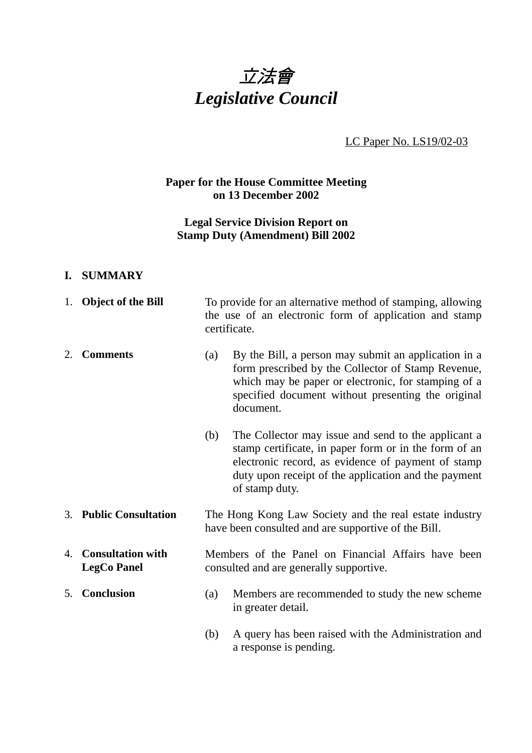

LC Paper No. LS19/02-03

## **Paper for the House Committee Meeting on 13 December 2002**

# **Legal Service Division Report on Stamp Duty (Amendment) Bill 2002**

#### **I. SUMMARY**

|    | 1. Object of the Bill                          | To provide for an alternative method of stamping, allowing<br>the use of an electronic form of application and stamp<br>certificate. |                                                                                                                                                                                                                                              |
|----|------------------------------------------------|--------------------------------------------------------------------------------------------------------------------------------------|----------------------------------------------------------------------------------------------------------------------------------------------------------------------------------------------------------------------------------------------|
| 2. | <b>Comments</b>                                | (a)                                                                                                                                  | By the Bill, a person may submit an application in a<br>form prescribed by the Collector of Stamp Revenue,<br>which may be paper or electronic, for stamping of a<br>specified document without presenting the original<br>document.         |
|    |                                                | (b)                                                                                                                                  | The Collector may issue and send to the applicant a<br>stamp certificate, in paper form or in the form of an<br>electronic record, as evidence of payment of stamp<br>duty upon receipt of the application and the payment<br>of stamp duty. |
| 3. | <b>Public Consultation</b>                     | The Hong Kong Law Society and the real estate industry<br>have been consulted and are supportive of the Bill.                        |                                                                                                                                                                                                                                              |
| 4. | <b>Consultation with</b><br><b>LegCo Panel</b> | Members of the Panel on Financial Affairs have been<br>consulted and are generally supportive.                                       |                                                                                                                                                                                                                                              |
| 5. | Conclusion                                     | (a)                                                                                                                                  | Members are recommended to study the new scheme<br>in greater detail.                                                                                                                                                                        |

(b) A query has been raised with the Administration and a response is pending.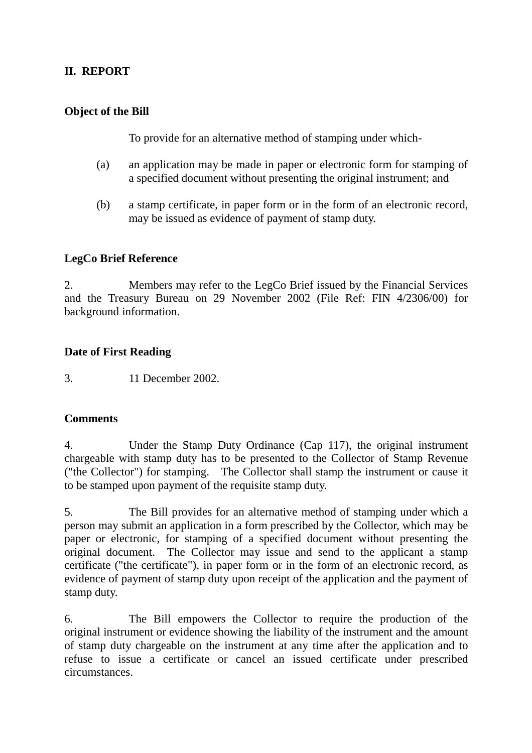# **II. REPORT**

### **Object of the Bill**

To provide for an alternative method of stamping under which-

- (a) an application may be made in paper or electronic form for stamping of a specified document without presenting the original instrument; and
- (b) a stamp certificate, in paper form or in the form of an electronic record, may be issued as evidence of payment of stamp duty.

## **LegCo Brief Reference**

2. Members may refer to the LegCo Brief issued by the Financial Services and the Treasury Bureau on 29 November 2002 (File Ref: FIN 4/2306/00) for background information.

#### **Date of First Reading**

3. 11 December 2002.

#### **Comments**

4. Under the Stamp Duty Ordinance (Cap 117), the original instrument chargeable with stamp duty has to be presented to the Collector of Stamp Revenue ("the Collector") for stamping. The Collector shall stamp the instrument or cause it to be stamped upon payment of the requisite stamp duty.

5. The Bill provides for an alternative method of stamping under which a person may submit an application in a form prescribed by the Collector, which may be paper or electronic, for stamping of a specified document without presenting the original document. The Collector may issue and send to the applicant a stamp certificate ("the certificate"), in paper form or in the form of an electronic record, as evidence of payment of stamp duty upon receipt of the application and the payment of stamp duty.

6. The Bill empowers the Collector to require the production of the original instrument or evidence showing the liability of the instrument and the amount of stamp duty chargeable on the instrument at any time after the application and to refuse to issue a certificate or cancel an issued certificate under prescribed circumstances.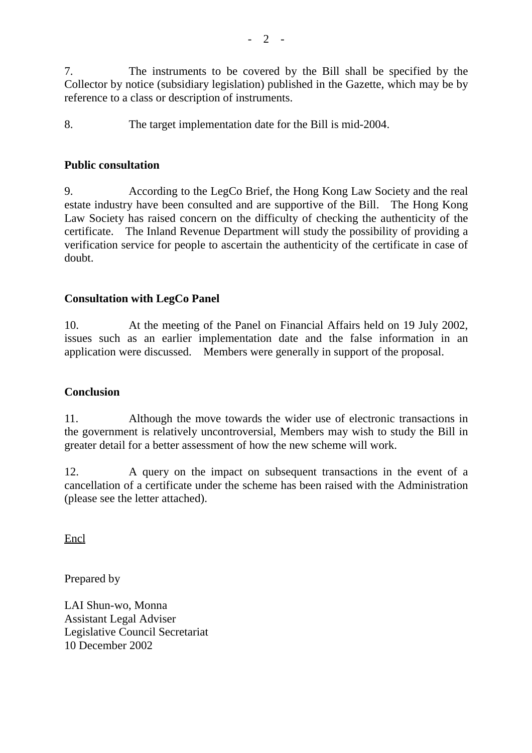7. The instruments to be covered by the Bill shall be specified by the Collector by notice (subsidiary legislation) published in the Gazette, which may be by reference to a class or description of instruments.

8. The target implementation date for the Bill is mid-2004.

#### **Public consultation**

9. According to the LegCo Brief, the Hong Kong Law Society and the real estate industry have been consulted and are supportive of the Bill. The Hong Kong Law Society has raised concern on the difficulty of checking the authenticity of the certificate. The Inland Revenue Department will study the possibility of providing a verification service for people to ascertain the authenticity of the certificate in case of doubt.

#### **Consultation with LegCo Panel**

10. At the meeting of the Panel on Financial Affairs held on 19 July 2002, issues such as an earlier implementation date and the false information in an application were discussed. Members were generally in support of the proposal.

#### **Conclusion**

11. Although the move towards the wider use of electronic transactions in the government is relatively uncontroversial, Members may wish to study the Bill in greater detail for a better assessment of how the new scheme will work.

12. A query on the impact on subsequent transactions in the event of a cancellation of a certificate under the scheme has been raised with the Administration (please see the letter attached).

Encl

Prepared by

LAI Shun-wo, Monna Assistant Legal Adviser Legislative Council Secretariat 10 December 2002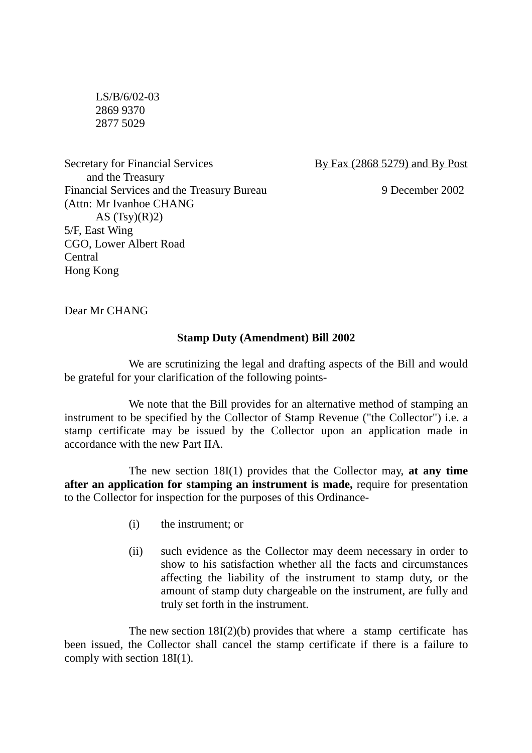LS/B/6/02-03 2869 9370 2877 5029

Secretary for Financial Services By Fax (2868 5279) and By Post and the Treasury Financial Services and the Treasury Bureau 9 December 2002 (Attn: Mr Ivanhoe CHANG AS  $(Tsy)(R)2$ 5/F, East Wing CGO, Lower Albert Road Central Hong Kong

Dear Mr CHANG

#### **Stamp Duty (Amendment) Bill 2002**

We are scrutinizing the legal and drafting aspects of the Bill and would be grateful for your clarification of the following points-

We note that the Bill provides for an alternative method of stamping an instrument to be specified by the Collector of Stamp Revenue ("the Collector") i.e. a stamp certificate may be issued by the Collector upon an application made in accordance with the new Part IIA.

The new section 18I(1) provides that the Collector may, **at any time after an application for stamping an instrument is made,** require for presentation to the Collector for inspection for the purposes of this Ordinance-

- (i) the instrument; or
- (ii) such evidence as the Collector may deem necessary in order to show to his satisfaction whether all the facts and circumstances affecting the liability of the instrument to stamp duty, or the amount of stamp duty chargeable on the instrument, are fully and truly set forth in the instrument.

The new section  $18I(2)(b)$  provides that where a stamp certificate has been issued, the Collector shall cancel the stamp certificate if there is a failure to comply with section 18I(1).